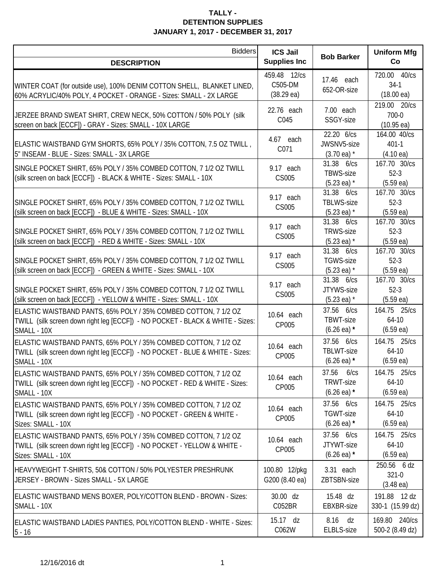| <b>Bidders</b>                                                                                                                                                    | <b>ICS Jail</b><br><b>Supplies Inc</b>          |                                                          | <b>Uniform Mfg</b>                               |
|-------------------------------------------------------------------------------------------------------------------------------------------------------------------|-------------------------------------------------|----------------------------------------------------------|--------------------------------------------------|
| <b>DESCRIPTION</b>                                                                                                                                                |                                                 | <b>Bob Barker</b>                                        | Co                                               |
| WINTER COAT (for outside use), 100% DENIM COTTON SHELL, BLANKET LINED,<br>60% ACRYLIC/40% POLY, 4 POCKET - ORANGE - Sizes: SMALL - 2X LARGE                       | 459.48 12/cs<br>C505-DM<br>$(38.29 \text{ ea})$ | 17.46 each<br>652-OR-size                                | 720.00 40/cs<br>$34-1$<br>$(18.00 \text{ ea})$   |
| JERZEE BRAND SWEAT SHIRT, CREW NECK, 50% COTTON / 50% POLY (silk<br>screen on back [ECCF]) - GRAY - Sizes: SMALL - 10X LARGE                                      | 22.76 each<br>C045                              | 7.00 each<br>SSGY-size                                   | 219.00 20/cs<br>700-0<br>$(10.95 \text{ ea})$    |
| ELASTIC WAISTBAND GYM SHORTS, 65% POLY / 35% COTTON, 7.5 OZ TWILL,<br>5" INSEAM - BLUE - Sizes: SMALL - 3X LARGE                                                  | 4.67 each<br>C071                               | 22.20 6/cs<br>JWSNV5-size<br>$(3.70 \text{ ea})$ *       | 164.00 40/cs<br>$401 - 1$<br>$(4.10 \text{ ea})$ |
| SINGLE POCKET SHIRT, 65% POLY / 35% COMBED COTTON, 7 1/2 OZ TWILL<br>(silk screen on back [ECCF]) - BLACK & WHITE - Sizes: SMALL - 10X                            | 9.17 each<br>CS005                              | 31.38 6/cs<br><b>TBWS-size</b><br>$(5.23 \text{ ea})$ *  | 167.70 30/cs<br>$52-3$<br>(5.59ea)               |
| SINGLE POCKET SHIRT, 65% POLY / 35% COMBED COTTON, 7 1/2 OZ TWILL<br>(silk screen on back [ECCF]) - BLUE & WHITE - Sizes: SMALL - 10X                             | 9.17 each<br>CS005                              | 31.38 6/cs<br><b>TBLWS-size</b><br>$(5.23 \text{ ea})$ * | 167.70 30/cs<br>$52-3$<br>(5.59ea)               |
| SINGLE POCKET SHIRT, 65% POLY / 35% COMBED COTTON, 7 1/2 OZ TWILL<br>(silk screen on back [ECCF]) - RED & WHITE - Sizes: SMALL - 10X                              | 9.17 each<br>CS005                              | 31.38 6/cs<br><b>TRWS-size</b><br>$(5.23 \text{ ea})$ *  | 167.70 30/cs<br>$52-3$<br>(5.59ea)               |
| SINGLE POCKET SHIRT, 65% POLY / 35% COMBED COTTON, 7 1/2 OZ TWILL<br>(silk screen on back [ECCF]) - GREEN & WHITE - Sizes: SMALL - 10X                            | 9.17 each<br>CS005                              | 31.38 6/cs<br><b>TGWS-size</b><br>$(5.23 \text{ ea})$ *  | 167.70 30/cs<br>$52-3$<br>$(5.59 \text{ ea})$    |
| SINGLE POCKET SHIRT, 65% POLY / 35% COMBED COTTON, 7 1/2 OZ TWILL<br>(silk screen on back [ECCF]) - YELLOW & WHITE - Sizes: SMALL - 10X                           | 9.17 each<br>CS005                              | 31.38 6/cs<br>JTYWS-size<br>$(5.23 \text{ ea})$ *        | 167.70 30/cs<br>$52-3$<br>(5.59ea)               |
| ELASTIC WAISTBAND PANTS, 65% POLY / 35% COMBED COTTON, 7 1/2 OZ<br>TWILL (silk screen down right leg [ECCF]) - NO POCKET - BLACK & WHITE - Sizes:<br>SMALL - 10X  | 10.64 each<br>CP005                             | 37.56 6/cs<br>TBWT-size<br>$(6.26 \text{ ea})$ *         | 164.75 25/cs<br>$64-10$<br>(6.59ea)              |
| ELASTIC WAISTBAND PANTS, 65% POLY / 35% COMBED COTTON, 7 1/2 OZ<br>TWILL (silk screen down right leg [ECCF]) - NO POCKET - BLUE & WHITE - Sizes:<br>SMALL - 10X   | 10.64 each<br>CP005                             | 37.56 6/cs<br>TBLWT-size<br>$(6.26 \text{ ea})$ *        | 164.75 25/cs<br>$64-10$<br>$(6.59 \text{ ea})$   |
| ELASTIC WAISTBAND PANTS, 65% POLY / 35% COMBED COTTON, 7 1/2 OZ<br>TWILL (silk screen down right leg [ECCF]) - NO POCKET - RED & WHITE - Sizes:<br>SMALL - 10X    | 10.64 each<br>CP005                             | 37.56 6/cs<br>TRWT-size<br>$(6.26 \text{ ea})$ *         | 164.75 25/cs<br>$64-10$<br>$(6.59 \text{ ea})$   |
| ELASTIC WAISTBAND PANTS, 65% POLY / 35% COMBED COTTON, 7 1/2 OZ<br>TWILL (silk screen down right leg [ECCF]) - NO POCKET - GREEN & WHITE -<br>Sizes: SMALL - 10X  | 10.64 each<br>CP005                             | 37.56 6/cs<br><b>TGWT-size</b><br>$(6.26 \text{ ea})$ *  | 164.75 25/cs<br>$64-10$<br>$(6.59 \text{ ea})$   |
| ELASTIC WAISTBAND PANTS, 65% POLY / 35% COMBED COTTON, 7 1/2 OZ<br>TWILL (silk screen down right leg [ECCF]) - NO POCKET - YELLOW & WHITE -<br>Sizes: SMALL - 10X | 10.64 each<br>CP005                             | 37.56 6/cs<br>JTYWT-size<br>$(6.26 \text{ ea})$ *        | 164.75 25/cs<br>$64-10$<br>$(6.59 \text{ ea})$   |
| HEAVYWEIGHT T-SHIRTS, 50& COTTON / 50% POLYESTER PRESHRUNK<br>JERSEY - BROWN - Sizes SMALL - 5X LARGE                                                             | 100.80 12/pkg<br>G200 (8.40 ea)                 | 3.31 each<br>ZBTSBN-size                                 | 250.56 6 dz<br>321-0<br>$(3.48 \text{ ea})$      |
| ELASTIC WAISTBAND MENS BOXER, POLY/COTTON BLEND - BROWN - Sizes:<br>SMALL - 10X                                                                                   | 30.00 dz<br>C052BR                              | 15.48 dz<br>EBXBR-size                                   | 191.88 12 dz<br>330-1 (15.99 dz)                 |
| ELASTIC WAISTBAND LADIES PANTIES, POLY/COTTON BLEND - WHITE - Sizes:<br>$5 - 16$                                                                                  | 15.17 dz<br>C062W                               | 8.16<br>dz<br>ELBLS-size                                 | 169.80 240/cs<br>500-2 (8.49 dz)                 |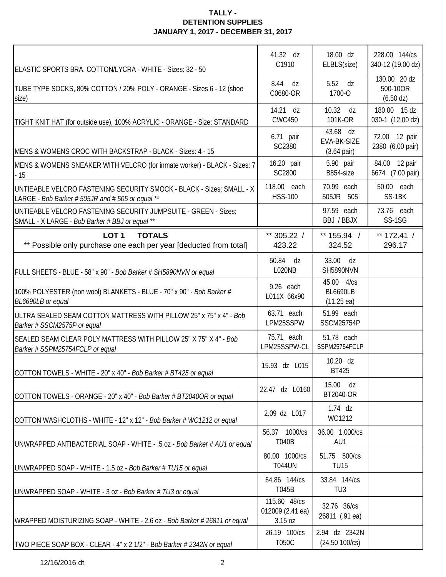| ELASTIC SPORTS BRA, COTTON/LYCRA - WHITE - Sizes: 32 - 50                                                                | 41.32 dz<br>C1910                           | 18.00 dz<br>ELBLS(size)                               | 228.00 144/cs<br>340-12 (19.00 dz)         |
|--------------------------------------------------------------------------------------------------------------------------|---------------------------------------------|-------------------------------------------------------|--------------------------------------------|
| TUBE TYPE SOCKS, 80% COTTON / 20% POLY - ORANGE - Sizes 6 - 12 (shoe<br>size)                                            | 8.44<br>dz<br>C0680-OR                      | 5.52 dz<br>1700-O                                     | 130.00 20 dz<br>500-10OR<br>$(6.50 \, dz)$ |
| TIGHT KNIT HAT (for outside use), 100% ACRYLIC - ORANGE - Size: STANDARD                                                 | 14.21 dz<br><b>CWC450</b>                   | 10.32<br>dz<br>101K-OR                                | 180.00 15 dz<br>030-1 (12.00 dz)           |
| MENS & WOMENS CROC WITH BACKSTRAP - BLACK - Sizes: 4 - 15                                                                | 6.71 pair<br>SC2380                         | 43.68 dz<br>EVA-BK-SIZE<br>$(3.64 \text{ pair})$      | 72.00 12 pair<br>2380 (6.00 pair)          |
| MENS & WOMENS SNEAKER WITH VELCRO (for inmate worker) - BLACK - Sizes: 7<br>- 15                                         | 16.20 pair<br>SC2800                        | 5.90 pair<br>B854-size                                | 84.00 12 pair<br>6674 (7.00 pair)          |
| UNTIEABLE VELCRO FASTENING SECURITY SMOCK - BLACK - Sizes: SMALL - X<br>LARGE - Bob Barker # 505JR and # 505 or equal ** | 118.00 each<br><b>HSS-100</b>               | 70.99 each<br>505JR 505                               | 50.00 each<br>SS-1BK                       |
| UNTIEABLE VELCRO FASTENING SECURITY JUMPSUITE - GREEN - Sizes:<br>SMALL - X LARGE - Bob Barker # BBJ or equal **         |                                             | 97.59 each<br>BBJ / BBJX                              | 73.76 each<br>SS-1SG                       |
| LOT <sub>1</sub><br><b>TOTALS</b><br>** Possible only purchase one each per year [deducted from total]                   | ** 305.22 /<br>423.22                       | ** $155.94$ /<br>324.52                               | ** $172.41 /$<br>296.17                    |
| FULL SHEETS - BLUE - 58" x 90" - Bob Barker # SH5890NVN or equal                                                         | 50.84 dz<br>L020NB                          | 33.00 dz<br>SH5890NVN                                 |                                            |
| 100% POLYESTER (non wool) BLANKETS - BLUE - 70" x 90" - Bob Barker #<br>BL6690LB or equal                                | 9.26 each<br>L011X 66x90                    | 45.00 4/cs<br><b>BL6690LB</b><br>$(11.25 \text{ ea})$ |                                            |
| ULTRA SEALED SEAM COTTON MATTRESS WITH PILLOW 25" x 75" x 4" - Bob<br>Barker # SSCM2575P or equal                        | 63.71 each<br>LPM25SSPW                     | 51.99 each<br>SSCM25754P                              |                                            |
| SEALED SEAM CLEAR POLY MATTRESS WITH PILLOW 25" X 75" X 4" - Bob<br>Barker # SSPM25754FCLP or equal                      | 75.71 each<br>LPM25SSPW-CL                  | 51.78 each<br>SSPM25754FCLP                           |                                            |
| COTTON TOWELS - WHITE - 20" x 40" - Bob Barker # BT425 or equal                                                          | 15.93 dz L015                               | 10.20 dz<br><b>BT425</b>                              |                                            |
| COTTON TOWELS - ORANGE - 20" x 40" - Bob Barker # BT2040OR or equal                                                      | 22.47 dz L0160                              | 15.00 dz<br>BT2040-OR                                 |                                            |
| COTTON WASHCLOTHS - WHITE - 12" x 12" - Bob Barker # WC1212 or equal                                                     | 2.09 dz L017                                | $1.74$ dz<br>WC1212                                   |                                            |
| UNWRAPPED ANTIBACTERIAL SOAP - WHITE - .5 oz - Bob Barker # AU1 or equal                                                 | 56.37 1000/cs<br><b>T040B</b>               | 36.00 1,000/cs<br>AU1                                 |                                            |
| UNWRAPPED SOAP - WHITE - 1.5 oz - Bob Barker # TU15 or equal                                                             | 80.00 1000/cs<br><b>T044UN</b>              | 51.75 500/cs<br><b>TU15</b>                           |                                            |
| UNWRAPPED SOAP - WHITE - 3 oz - Bob Barker # TU3 or equal                                                                | 64.86 144/cs<br>T045B                       | 33.84 144/cs<br>TU <sub>3</sub>                       |                                            |
| WRAPPED MOISTURIZING SOAP - WHITE - 2.6 oz - Bob Barker # 26811 or equal                                                 | 115.60 48/cs<br>012009 (2.41 ea)<br>3.15 oz | 32.76 36/cs<br>26811 (.91 ea)                         |                                            |
| TWO PIECE SOAP BOX - CLEAR - 4" x 2 1/2" - Bob Barker # 2342N or equal                                                   | 26.19 100/cs<br>T050C                       | 2.94 dz 2342N<br>(24.50 100/cs)                       |                                            |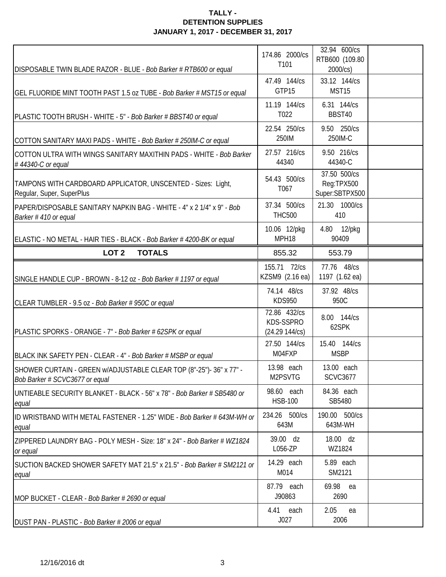| DISPOSABLE TWIN BLADE RAZOR - BLUE - Bob Barker # RTB600 or equal                                     | 174.86 2000/cs<br>T101                      | 32.94 600/cs<br>RTB600 (109.80<br>2000/cs)   |  |
|-------------------------------------------------------------------------------------------------------|---------------------------------------------|----------------------------------------------|--|
| GEL FLUORIDE MINT TOOTH PAST 1.5 oz TUBE - Bob Barker # MST15 or equal                                | 47.49 144/cs<br>GTP15                       | 33.12 144/cs<br>MST <sub>15</sub>            |  |
| PLASTIC TOOTH BRUSH - WHITE - 5" - Bob Barker # BBST40 or equal                                       | 11.19 144/cs<br>T022                        | 6.31 144/cs<br>BBST40                        |  |
| COTTON SANITARY MAXI PADS - WHITE - Bob Barker # 250IM-C or equal                                     | 22.54 250/cs<br>250IM                       | 9.50 250/cs<br>250IM-C                       |  |
| COTTON ULTRA WITH WINGS SANITARY MAXITHIN PADS - WHITE - Bob Barker<br>#44340-C or equal              | 27.57 216/cs<br>44340                       | 9.50 216/cs<br>44340-C                       |  |
| TAMPONS WITH CARDBOARD APPLICATOR, UNSCENTED - Sizes: Light,<br>Regular, Super, SuperPlus             | 54.43 500/cs<br>T067                        | 37.50 500/cs<br>Reg:TPX500<br>Super:SBTPX500 |  |
| PAPER/DISPOSABLE SANITARY NAPKIN BAG - WHITE - 4" x 2 1/4" x 9" - Bob<br>Barker #410 or equal         | 37.34 500/cs<br><b>THC500</b>               | 21.30 1000/cs<br>410                         |  |
| ELASTIC - NO METAL - HAIR TIES - BLACK - Bob Barker # 4200-BK or equal                                | 10.06 12/pkg<br>MPH18                       | 4.80 12/pkg<br>90409                         |  |
| LOT <sub>2</sub><br><b>TOTALS</b>                                                                     | 855.32                                      | 553.79                                       |  |
| SINGLE HANDLE CUP - BROWN - 8-12 oz - Bob Barker # 1197 or equal                                      | 155.71 72/cs<br>KZSM9 (2.16 ea)             | 77.76 48/cs<br>1197 (1.62 ea)                |  |
| CLEAR TUMBLER - 9.5 oz - Bob Barker # 950C or equal                                                   | 74.14 48/cs<br><b>KDS950</b>                | 37.92 48/cs<br>950C                          |  |
| PLASTIC SPORKS - ORANGE - 7" - Bob Barker # 62SPK or equal                                            | 72.86 432/cs<br>KDS-SSPRO<br>(24.29 144/cs) | 8.00 144/cs<br>62SPK                         |  |
| BLACK INK SAFETY PEN - CLEAR - 4" - Bob Barker # MSBP or equal                                        | 27.50 144/cs<br>M04FXP                      | 15.40 144/cs<br><b>MSBP</b>                  |  |
| SHOWER CURTAIN - GREEN w/ADJUSTABLE CLEAR TOP (8"-25")- 36" x 77" -<br>Bob Barker # SCVC3677 or equal | 13.98 each<br>M2PSVTG                       | 13.00 each<br><b>SCVC3677</b>                |  |
| UNTIEABLE SECURITY BLANKET - BLACK - 56" x 78" - Bob Barker # SB5480 or<br>equal                      | 98.60 each<br><b>HSB-100</b>                | 84.36 each<br>SB5480                         |  |
| IID WRISTBAND WITH METAL FASTENER - 1.25" WIDE - Bob Barker # 643M-WH or<br>equal                     | 234.26 500/cs<br>643M                       | 190.00 500/cs<br>643M-WH                     |  |
| ZIPPERED LAUNDRY BAG - POLY MESH - Size: 18" x 24" - Bob Barker # WZ1824<br>or equal                  | 39.00 dz<br>L056-ZP                         | 18.00 dz<br>WZ1824                           |  |
| SUCTION BACKED SHOWER SAFETY MAT 21.5" x 21.5" - Bob Barker # SM2121 or<br>equal                      | 14.29 each<br>M014                          | 5.89 each<br>SM2121                          |  |
| MOP BUCKET - CLEAR - Bob Barker # 2690 or equal                                                       | 87.79 each<br>J90863                        | 69.98 ea<br>2690                             |  |
| DUST PAN - PLASTIC - Bob Barker # 2006 or equal                                                       | 4.41 each<br>J027                           | 2.05<br>ea<br>2006                           |  |